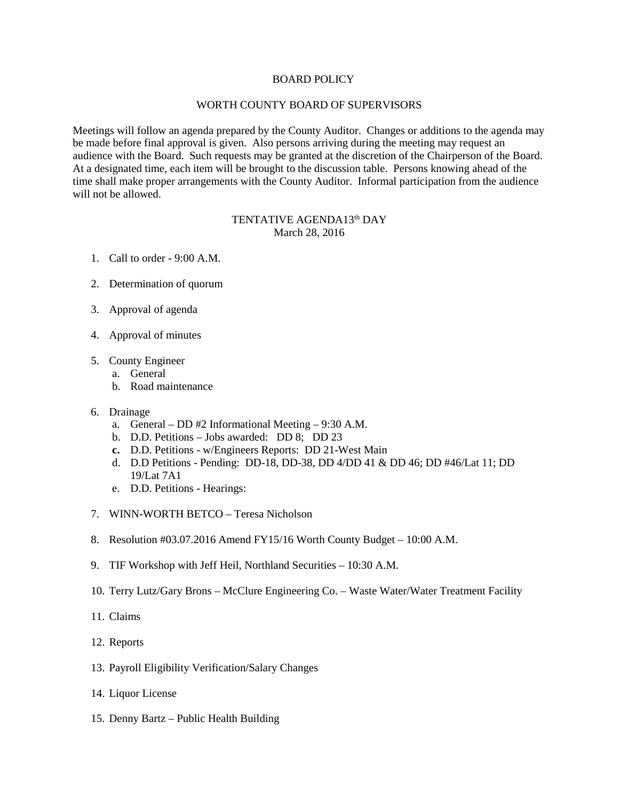## BOARD POLICY

## WORTH COUNTY BOARD OF SUPERVISORS

Meetings will follow an agenda prepared by the County Auditor. Changes or additions to the agenda may be made before final approval is given. Also persons arriving during the meeting may request an audience with the Board. Such requests may be granted at the discretion of the Chairperson of the Board. At a designated time, each item will be brought to the discussion table. Persons knowing ahead of the time shall make proper arrangements with the County Auditor. Informal participation from the audience will not be allowed.

## TENTATIVE AGENDA13<sup>th</sup> DAY March 28, 2016

- 1. Call to order 9:00 A.M.
- 2. Determination of quorum
- 3. Approval of agenda
- 4. Approval of minutes
- 5. County Engineer
	- a. General
	- b. Road maintenance
- 6. Drainage
	- a. General DD #2 Informational Meeting 9:30 A.M.
	- b. D.D. Petitions Jobs awarded: DD 8; DD 23
	- **c.** D.D. Petitions w/Engineers Reports: DD 21-West Main
	- d. D.D Petitions Pending: DD-18, DD-38, DD 4/DD 41 & DD 46; DD #46/Lat 11; DD 19/Lat 7A1
	- e. D.D. Petitions Hearings:
- 7. WINN-WORTH BETCO Teresa Nicholson
- 8. Resolution #03.07.2016 Amend FY15/16 Worth County Budget 10:00 A.M.
- 9. TIF Workshop with Jeff Heil, Northland Securities 10:30 A.M.
- 10. Terry Lutz/Gary Brons McClure Engineering Co. Waste Water/Water Treatment Facility
- 11. Claims
- 12. Reports
- 13. Payroll Eligibility Verification/Salary Changes
- 14. Liquor License
- 15. Denny Bartz Public Health Building